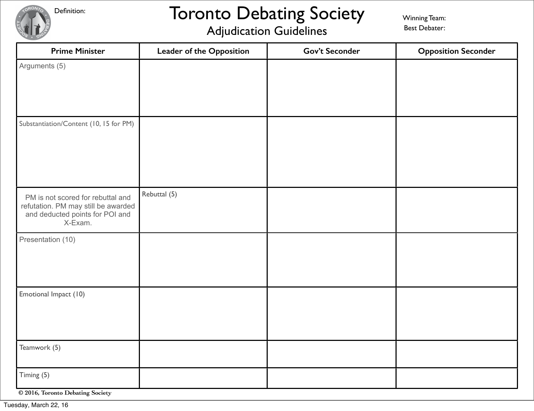Definition:

# Toronto Debating Society

Winning Team: Best Debater:

### Adjudication Guidelines

| <b>Prime Minister</b>                                                                                                  | Leader of the Opposition | <b>Gov't Seconder</b> | <b>Opposition Seconder</b> |
|------------------------------------------------------------------------------------------------------------------------|--------------------------|-----------------------|----------------------------|
| Arguments (5)                                                                                                          |                          |                       |                            |
| Substantiation/Content (10, 15 for PM)                                                                                 |                          |                       |                            |
| PM is not scored for rebuttal and<br>refutation. PM may still be awarded<br>and deducted points for POI and<br>X-Exam. | Rebuttal (5)             |                       |                            |
| Presentation (10)                                                                                                      |                          |                       |                            |
| Emotional Impact (10)                                                                                                  |                          |                       |                            |
| Teamwork (5)                                                                                                           |                          |                       |                            |
| Timing (5)<br>© 2016, Toronto Debating Society                                                                         |                          |                       |                            |